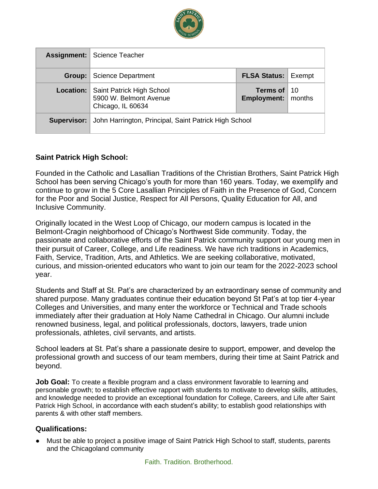

|             | <b>Assignment:   Science Teacher</b>                                     |                                              |  |
|-------------|--------------------------------------------------------------------------|----------------------------------------------|--|
| Group:      | <b>Science Department</b>                                                | <b>FLSA Status: Exempt</b>                   |  |
| Location:   | Saint Patrick High School<br>5900 W. Belmont Avenue<br>Chicago, IL 60634 | Terms of $10$<br><b>Employment:</b>   months |  |
| Supervisor: | John Harrington, Principal, Saint Patrick High School                    |                                              |  |

### **Saint Patrick High School:**

Founded in the Catholic and Lasallian Traditions of the Christian Brothers, Saint Patrick High School has been serving Chicago's youth for more than 160 years. Today, we exemplify and continue to grow in the 5 Core Lasallian Principles of Faith in the Presence of God, Concern for the Poor and Social Justice, Respect for All Persons, Quality Education for All, and Inclusive Community.

Originally located in the West Loop of Chicago, our modern campus is located in the Belmont-Cragin neighborhood of Chicago's Northwest Side community. Today, the passionate and collaborative efforts of the Saint Patrick community support our young men in their pursuit of Career, College, and Life readiness. We have rich traditions in Academics, Faith, Service, Tradition, Arts, and Athletics. We are seeking collaborative, motivated, curious, and mission-oriented educators who want to join our team for the 2022-2023 school year.

Students and Staff at St. Pat's are characterized by an extraordinary sense of community and shared purpose. Many graduates continue their education beyond St Pat's at top tier 4-year Colleges and Universities, and many enter the workforce or Technical and Trade schools immediately after their graduation at Holy Name Cathedral in Chicago. Our alumni include renowned business, legal, and political professionals, doctors, lawyers, trade union professionals, athletes, civil servants, and artists.

School leaders at St. Pat's share a passionate desire to support, empower, and develop the professional growth and success of our team members, during their time at Saint Patrick and beyond.

**Job Goal:** To create a flexible program and a class environment favorable to learning and personable growth; to establish effective rapport with students to motivate to develop skills, attitudes, and knowledge needed to provide an exceptional foundation for College, Careers, and Life after Saint Patrick High School, in accordance with each student's ability; to establish good relationships with parents & with other staff members.

### **Qualifications:**

● Must be able to project a positive image of Saint Patrick High School to staff, students, parents and the Chicagoland community